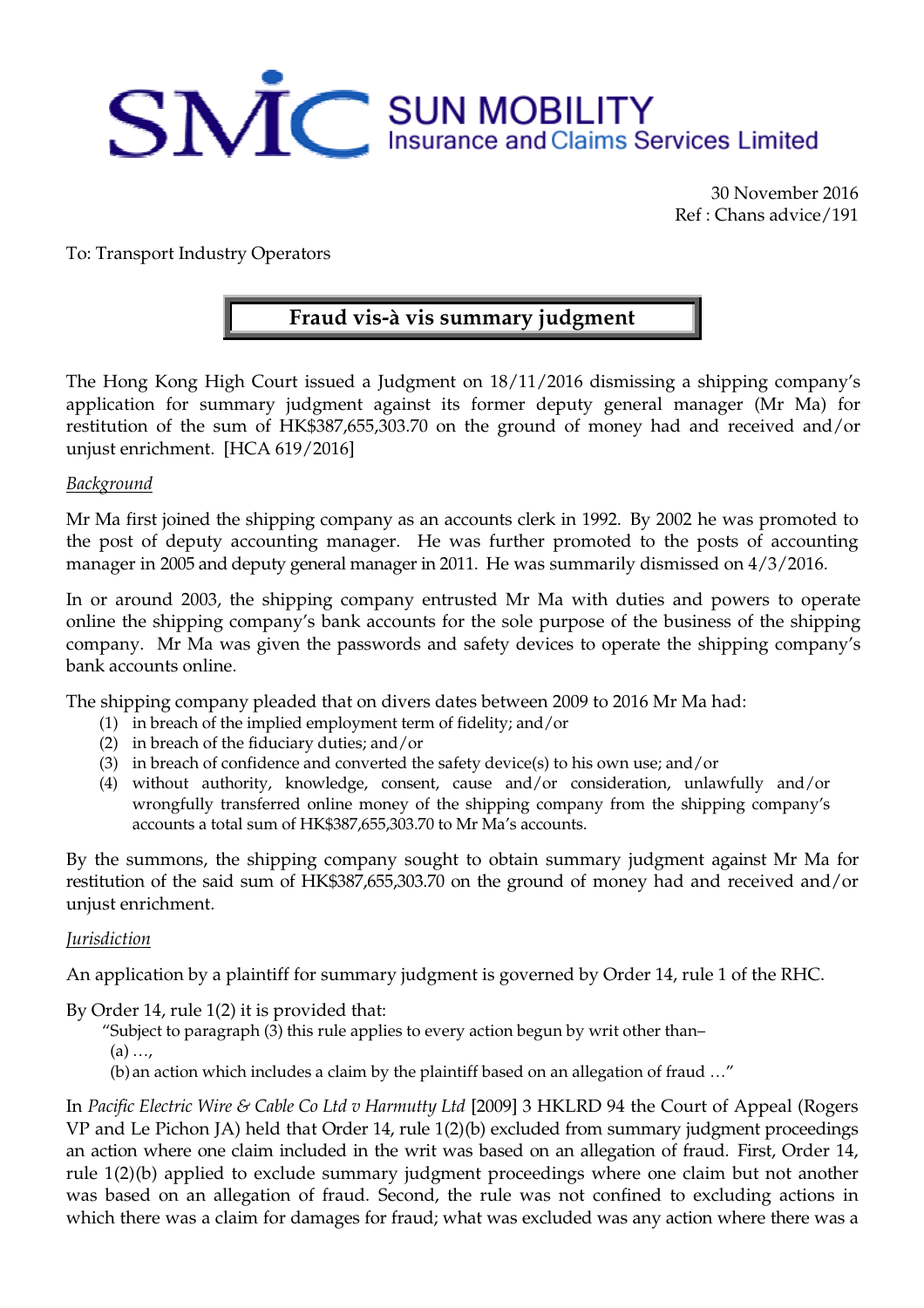

30 November 2016 Ref : Chans advice/191

To: Transport Industry Operators

## **Fraud vis-à vis summary judgment**

The Hong Kong High Court issued a Judgment on 18/11/2016 dismissing a shipping company's application for summary judgment against its former deputy general manager (Mr Ma) for restitution of the sum of HK\$387,655,303.70 on the ground of money had and received and/or unjust enrichment. [HCA 619/2016]

## *Background*

Mr Ma first joined the shipping company as an accounts clerk in 1992. By 2002 he was promoted to the post of deputy accounting manager. He was further promoted to the posts of accounting manager in 2005 and deputy general manager in 2011. He was summarily dismissed on 4/3/2016.

In or around 2003, the shipping company entrusted Mr Ma with duties and powers to operate online the shipping company's bank accounts for the sole purpose of the business of the shipping company. Mr Ma was given the passwords and safety devices to operate the shipping company's bank accounts online.

The shipping company pleaded that on divers dates between 2009 to 2016 Mr Ma had:

- (1) in breach of the implied employment term of fidelity; and/or
- (2) in breach of the fiduciary duties; and/or
- (3) in breach of confidence and converted the safety device(s) to his own use; and/or
- (4) without authority, knowledge, consent, cause and/or consideration, unlawfully and/or wrongfully transferred online money of the shipping company from the shipping company's accounts a total sum of HK\$387,655,303.70 to Mr Ma's accounts.

By the summons, the shipping company sought to obtain summary judgment against Mr Ma for restitution of the said sum of HK\$387,655,303.70 on the ground of money had and received and/or unjust enrichment.

## *Jurisdiction*

An application by a plaintiff for summary judgment is governed by Order 14, rule 1 of the RHC.

By Order 14, rule 1(2) it is provided that:

"Subject to paragraph  $(3)$  this rule applies to every action begun by writ other than-

 $(a)$  ...

(b) an action which includes a claim by the plaintiff based on an allegation of fraud …"

In *Pacific Electric Wire & Cable Co Ltd v Harmutty Ltd* [2009] 3 HKLRD 94 the Court of Appeal (Rogers VP and Le Pichon JA) held that Order 14, rule 1(2)(b) excluded from summary judgment proceedings an action where one claim included in the writ was based on an allegation of fraud. First, Order 14, rule 1(2)(b) applied to exclude summary judgment proceedings where one claim but not another was based on an allegation of fraud. Second, the rule was not confined to excluding actions in which there was a claim for damages for fraud; what was excluded was any action where there was a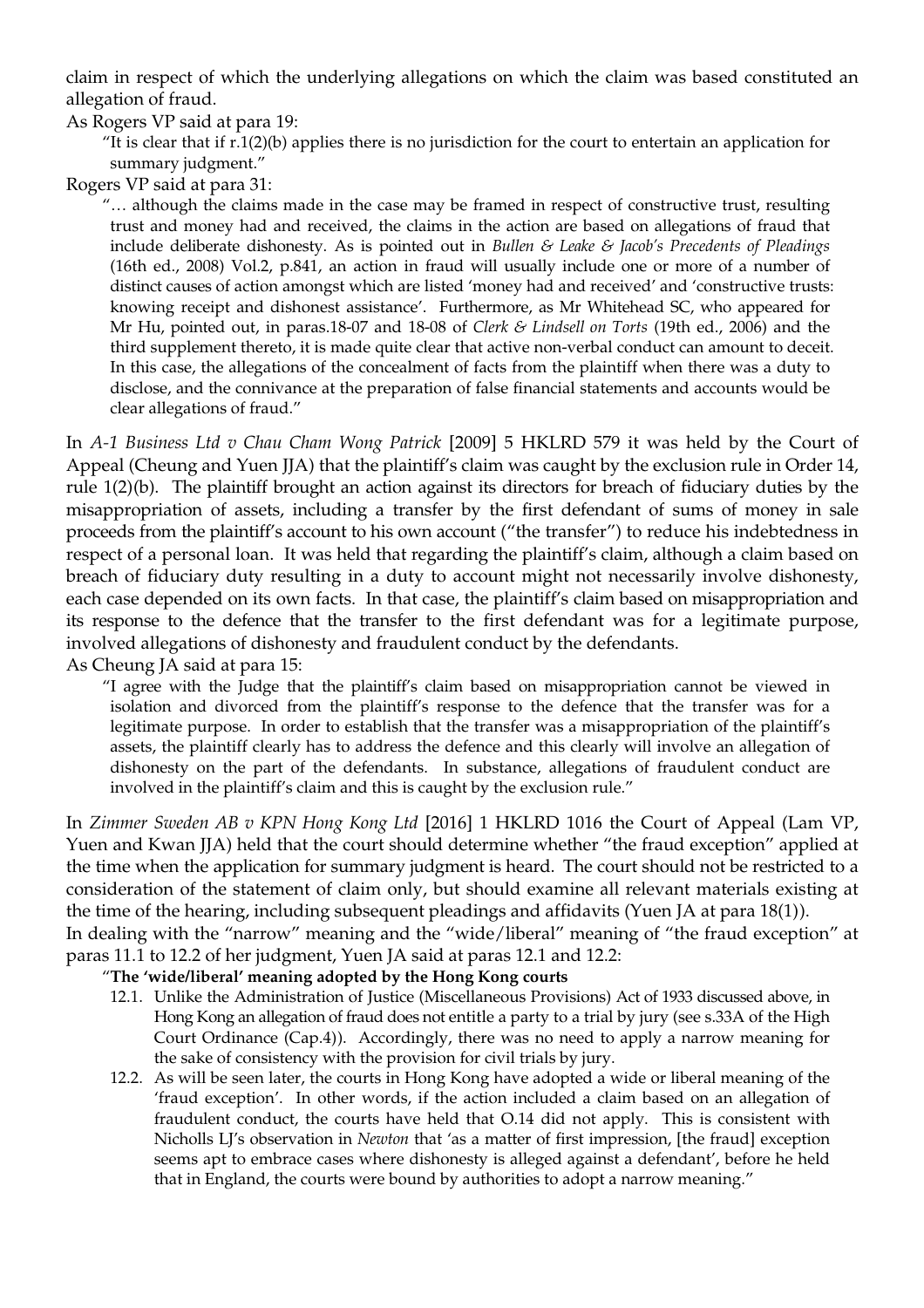claim in respect of which the underlying allegations on which the claim was based constituted an allegation of fraud.

As Rogers VP said at para 19:

"It is clear that if  $r.1(2)(b)$  applies there is no jurisdiction for the court to entertain an application for summary judgment."

Rogers VP said at para 31:

"… although the claims made in the case may be framed in respect of constructive trust, resulting trust and money had and received, the claims in the action are based on allegations of fraud that include deliberate dishonesty. As is pointed out in *Bullen & Leake & Jacob's Precedents of Pleadings* (16th ed., 2008) Vol.2, p.841, an action in fraud will usually include one or more of a number of distinct causes of action amongst which are listed 'money had and received' and 'constructive trusts: knowing receipt and dishonest assistance'. Furthermore, as Mr Whitehead SC, who appeared for Mr Hu, pointed out, in paras.18-07 and 18-08 of *Clerk & Lindsell on Torts* (19th ed., 2006) and the third supplement thereto, it is made quite clear that active non-verbal conduct can amount to deceit. In this case, the allegations of the concealment of facts from the plaintiff when there was a duty to disclose, and the connivance at the preparation of false financial statements and accounts would be clear allegations of fraud."

In *A-1 Business Ltd v Chau Cham Wong Patrick* [2009] 5 HKLRD 579 it was held by the Court of Appeal (Cheung and Yuen JJA) that the plaintiff's claim was caught by the exclusion rule in Order 14, rule 1(2)(b). The plaintiff brought an action against its directors for breach of fiduciary duties by the misappropriation of assets, including a transfer by the first defendant of sums of money in sale proceeds from the plaintiff's account to his own account ("the transfer") to reduce his indebtedness in respect of a personal loan. It was held that regarding the plaintiff's claim, although a claim based on breach of fiduciary duty resulting in a duty to account might not necessarily involve dishonesty, each case depended on its own facts. In that case, the plaintiff's claim based on misappropriation and its response to the defence that the transfer to the first defendant was for a legitimate purpose, involved allegations of dishonesty and fraudulent conduct by the defendants. As Cheung JA said at para 15:

"I agree with the Judge that the plaintiff's claim based on misappropriation cannot be viewed in isolation and divorced from the plaintiff's response to the defence that the transfer was for a legitimate purpose. In order to establish that the transfer was a misappropriation of the plaintiff's assets, the plaintiff clearly has to address the defence and this clearly will involve an allegation of dishonesty on the part of the defendants. In substance, allegations of fraudulent conduct are involved in the plaintiff's claim and this is caught by the exclusion rule."

In *Zimmer Sweden AB v KPN Hong Kong Ltd* [2016] 1 HKLRD 1016 the Court of Appeal (Lam VP, Yuen and Kwan JJA) held that the court should determine whether "the fraud exception" applied at the time when the application for summary judgment is heard. The court should not be restricted to a consideration of the statement of claim only, but should examine all relevant materials existing at the time of the hearing, including subsequent pleadings and affidavits (Yuen JA at para 18(1)). In dealing with the "narrow" meaning and the "wide/liberal" meaning of "the fraud exception" at

paras 11.1 to 12.2 of her judgment, Yuen JA said at paras 12.1 and 12.2:

"**The 'wide/liberal' meaning adopted by the Hong Kong courts**

- 12.1. Unlike the Administration of Justice (Miscellaneous Provisions) Act of 1933 discussed above, in Hong Kong an allegation of fraud does not entitle a party to a trial by jury (see s.33A of the High Court Ordinance (Cap.4)). Accordingly, there was no need to apply a narrow meaning for the sake of consistency with the provision for civil trials by jury.
- 12.2. As will be seen later, the courts in Hong Kong have adopted a wide or liberal meaning of the 'fraud exception'. In other words, if the action included a claim based on an allegation of fraudulent conduct, the courts have held that O.14 did not apply. This is consistent with Nicholls LJ's observation in *Newton* that 'as a matter of first impression, [the fraud] exception seems apt to embrace cases where dishonesty is alleged against a defendant', before he held that in England, the courts were bound by authorities to adopt a narrow meaning."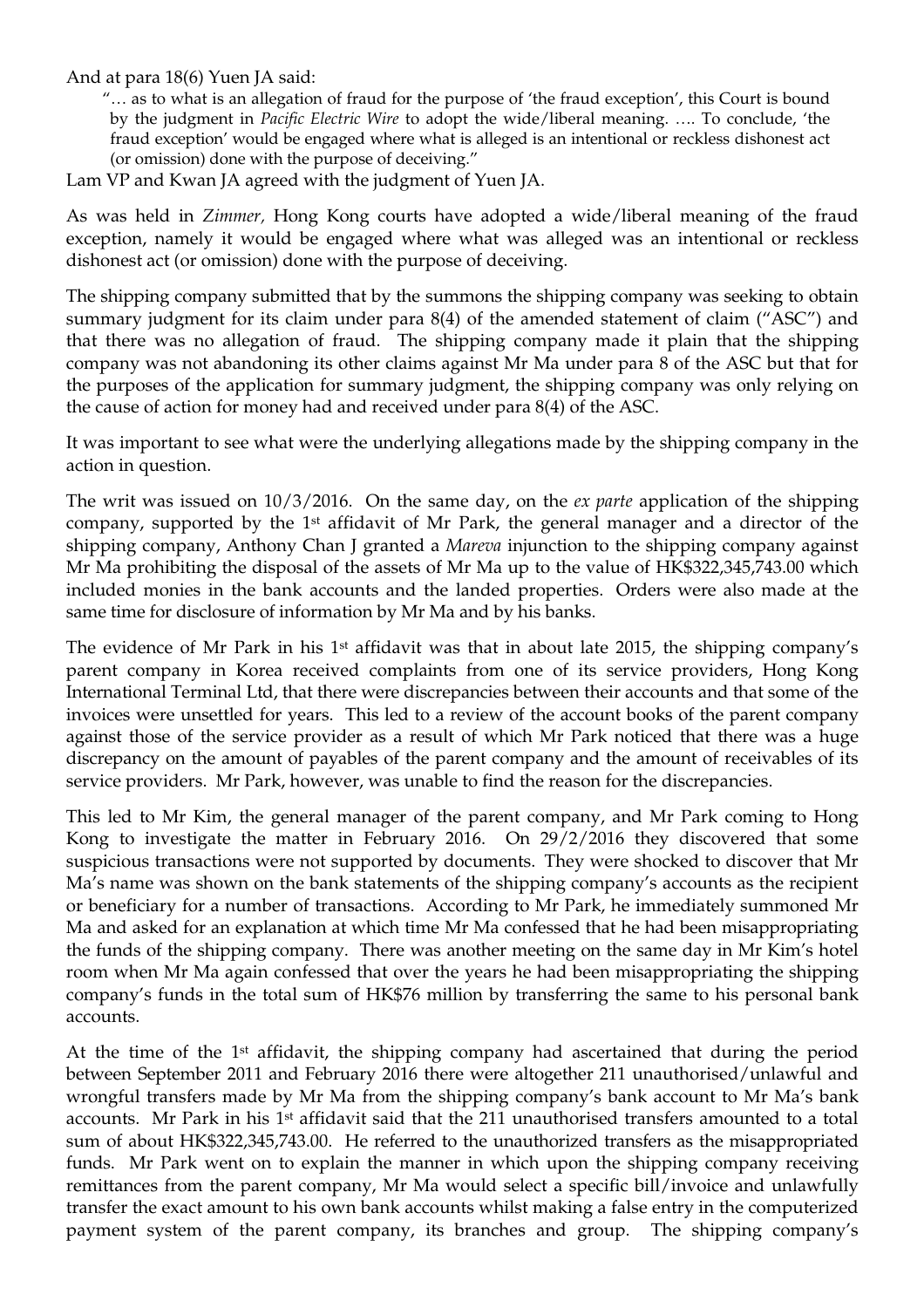And at para 18(6) Yuen JA said:

"… as to what is an allegation of fraud for the purpose of 'the fraud exception', this Court is bound by the judgment in *Pacific Electric Wire* to adopt the wide/liberal meaning. …. To conclude, 'the fraud exception' would be engaged where what is alleged is an intentional or reckless dishonest act (or omission) done with the purpose of deceiving."

Lam VP and Kwan JA agreed with the judgment of Yuen JA.

As was held in *Zimmer,* Hong Kong courts have adopted a wide/liberal meaning of the fraud exception, namely it would be engaged where what was alleged was an intentional or reckless dishonest act (or omission) done with the purpose of deceiving.

The shipping company submitted that by the summons the shipping company was seeking to obtain summary judgment for its claim under para 8(4) of the amended statement of claim ("ASC") and that there was no allegation of fraud. The shipping company made it plain that the shipping company was not abandoning its other claims against Mr Ma under para 8 of the ASC but that for the purposes of the application for summary judgment, the shipping company was only relying on the cause of action for money had and received under para 8(4) of the ASC.

It was important to see what were the underlying allegations made by the shipping company in the action in question.

The writ was issued on 10/3/2016. On the same day, on the *ex parte* application of the shipping company, supported by the 1<sup>st</sup> affidavit of Mr Park, the general manager and a director of the shipping company, Anthony Chan J granted a *Mareva* injunction to the shipping company against Mr Ma prohibiting the disposal of the assets of Mr Ma up to the value of HK\$322,345,743.00 which included monies in the bank accounts and the landed properties. Orders were also made at the same time for disclosure of information by Mr Ma and by his banks.

The evidence of Mr Park in his 1<sup>st</sup> affidavit was that in about late 2015, the shipping company's parent company in Korea received complaints from one of its service providers, Hong Kong International Terminal Ltd, that there were discrepancies between their accounts and that some of the invoices were unsettled for years. This led to a review of the account books of the parent company against those of the service provider as a result of which Mr Park noticed that there was a huge discrepancy on the amount of payables of the parent company and the amount of receivables of its service providers. Mr Park, however, was unable to find the reason for the discrepancies.

This led to Mr Kim, the general manager of the parent company, and Mr Park coming to Hong Kong to investigate the matter in February 2016. On 29/2/2016 they discovered that some suspicious transactions were not supported by documents. They were shocked to discover that Mr Ma's name was shown on the bank statements of the shipping company's accounts as the recipient or beneficiary for a number of transactions. According to Mr Park, he immediately summoned Mr Ma and asked for an explanation at which time Mr Ma confessed that he had been misappropriating the funds of the shipping company. There was another meeting on the same day in Mr Kim's hotel room when Mr Ma again confessed that over the years he had been misappropriating the shipping company's funds in the total sum of HK\$76 million by transferring the same to his personal bank accounts.

At the time of the 1<sup>st</sup> affidavit, the shipping company had ascertained that during the period between September 2011 and February 2016 there were altogether 211 unauthorised/unlawful and wrongful transfers made by Mr Ma from the shipping company's bank account to Mr Ma's bank accounts. Mr Park in his 1<sup>st</sup> affidavit said that the 211 unauthorised transfers amounted to a total sum of about HK\$322,345,743.00. He referred to the unauthorized transfers as the misappropriated funds. Mr Park went on to explain the manner in which upon the shipping company receiving remittances from the parent company, Mr Ma would select a specific bill/invoice and unlawfully transfer the exact amount to his own bank accounts whilst making a false entry in the computerized payment system of the parent company, its branches and group. The shipping company's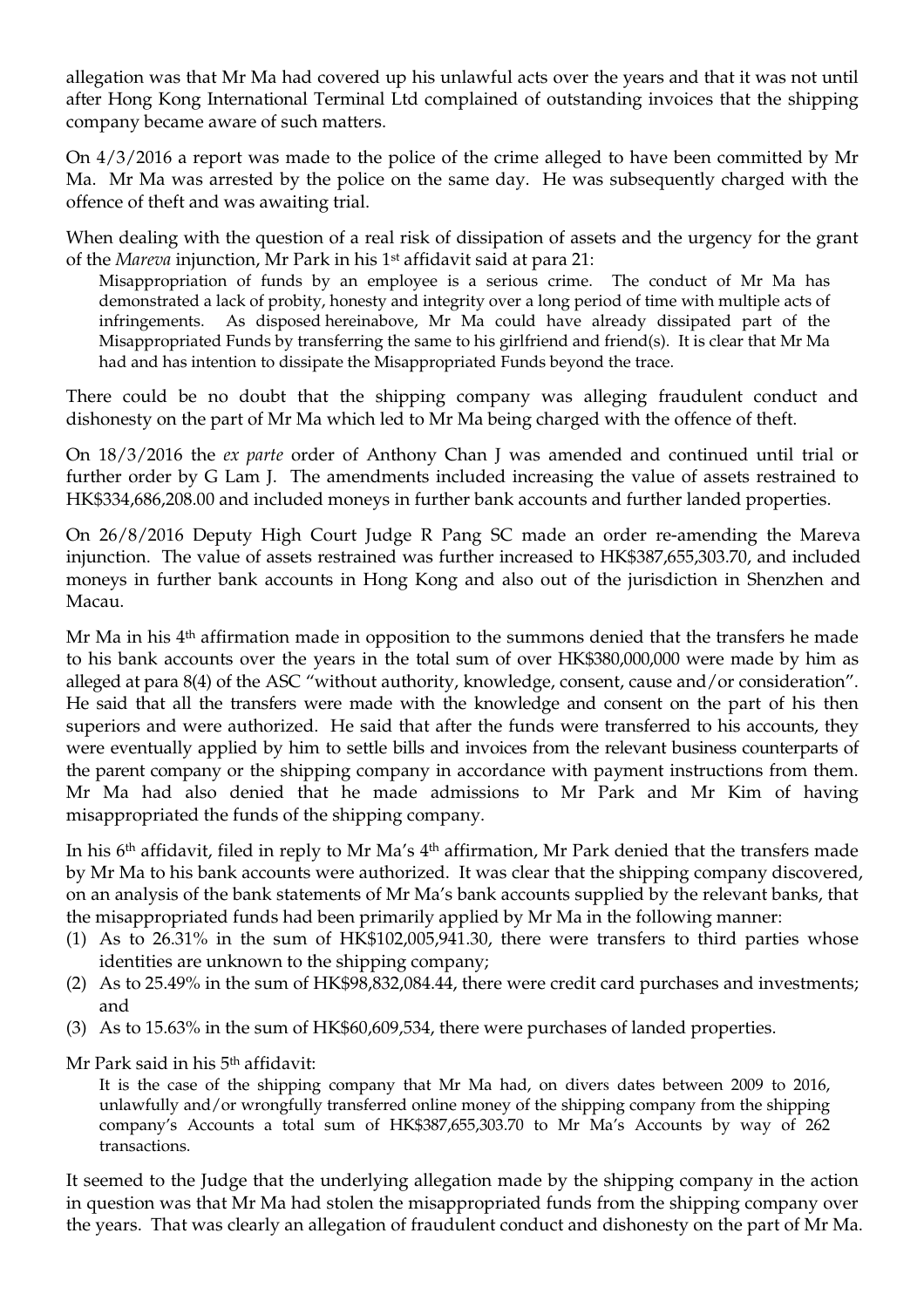allegation was that Mr Ma had covered up his unlawful acts over the years and that it was not until after Hong Kong International Terminal Ltd complained of outstanding invoices that the shipping company became aware of such matters.

On 4/3/2016 a report was made to the police of the crime alleged to have been committed by Mr Ma. Mr Ma was arrested by the police on the same day. He was subsequently charged with the offence of theft and was awaiting trial.

When dealing with the question of a real risk of dissipation of assets and the urgency for the grant of the *Mareva* injunction, Mr Park in his 1<sup>st</sup> affidavit said at para 21:

Misappropriation of funds by an employee is a serious crime. The conduct of Mr Ma has demonstrated a lack of probity, honesty and integrity over a long period of time with multiple acts of infringements. As disposed hereinabove, Mr Ma could have already dissipated part of the Misappropriated Funds by transferring the same to his girlfriend and friend(s). It is clear that Mr Ma had and has intention to dissipate the Misappropriated Funds beyond the trace.

There could be no doubt that the shipping company was alleging fraudulent conduct and dishonesty on the part of Mr Ma which led to Mr Ma being charged with the offence of theft.

On 18/3/2016 the *ex parte* order of Anthony Chan J was amended and continued until trial or further order by G Lam J. The amendments included increasing the value of assets restrained to HK\$334,686,208.00 and included moneys in further bank accounts and further landed properties.

On 26/8/2016 Deputy High Court Judge R Pang SC made an order re-amending the Mareva injunction. The value of assets restrained was further increased to HK\$387,655,303.70, and included moneys in further bank accounts in Hong Kong and also out of the jurisdiction in Shenzhen and Macau.

Mr Ma in his 4<sup>th</sup> affirmation made in opposition to the summons denied that the transfers he made to his bank accounts over the years in the total sum of over HK\$380,000,000 were made by him as alleged at para 8(4) of the ASC "without authority, knowledge, consent, cause and/or consideration". He said that all the transfers were made with the knowledge and consent on the part of his then superiors and were authorized. He said that after the funds were transferred to his accounts, they were eventually applied by him to settle bills and invoices from the relevant business counterparts of the parent company or the shipping company in accordance with payment instructions from them. Mr Ma had also denied that he made admissions to Mr Park and Mr Kim of having misappropriated the funds of the shipping company.

In his 6<sup>th</sup> affidavit, filed in reply to Mr Ma's 4<sup>th</sup> affirmation, Mr Park denied that the transfers made by Mr Ma to his bank accounts were authorized. It was clear that the shipping company discovered, on an analysis of the bank statements of Mr Ma's bank accounts supplied by the relevant banks, that the misappropriated funds had been primarily applied by Mr Ma in the following manner:

- (1) As to 26.31% in the sum of HK\$102,005,941.30, there were transfers to third parties whose identities are unknown to the shipping company;
- (2) As to 25.49% in the sum of HK\$98,832,084.44, there were credit card purchases and investments; and
- (3) As to 15.63% in the sum of HK\$60,609,534, there were purchases of landed properties.
- Mr Park said in his 5<sup>th</sup> affidavit:

It is the case of the shipping company that Mr Ma had, on divers dates between 2009 to 2016, unlawfully and/or wrongfully transferred online money of the shipping company from the shipping company's Accounts a total sum of HK\$387,655,303.70 to Mr Ma's Accounts by way of 262 transactions.

It seemed to the Judge that the underlying allegation made by the shipping company in the action in question was that Mr Ma had stolen the misappropriated funds from the shipping company over the years. That was clearly an allegation of fraudulent conduct and dishonesty on the part of Mr Ma.